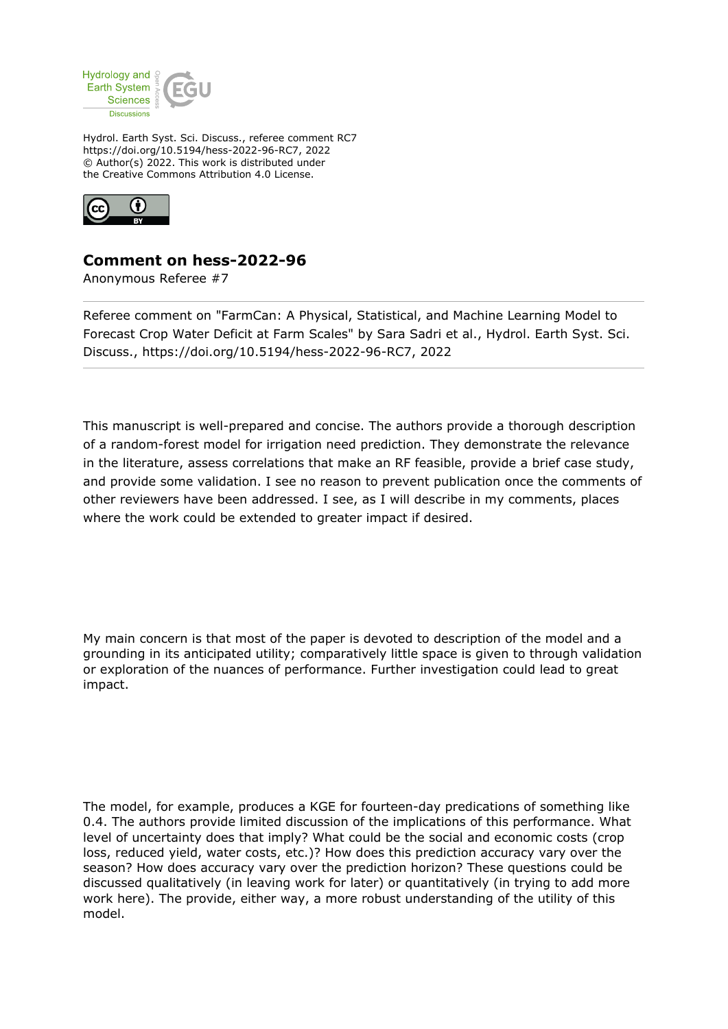

Hydrol. Earth Syst. Sci. Discuss., referee comment RC7 https://doi.org/10.5194/hess-2022-96-RC7, 2022 © Author(s) 2022. This work is distributed under the Creative Commons Attribution 4.0 License.



## **Comment on hess-2022-96**

Anonymous Referee #7

Referee comment on "FarmCan: A Physical, Statistical, and Machine Learning Model to Forecast Crop Water Deficit at Farm Scales" by Sara Sadri et al., Hydrol. Earth Syst. Sci. Discuss., https://doi.org/10.5194/hess-2022-96-RC7, 2022

This manuscript is well-prepared and concise. The authors provide a thorough description of a random-forest model for irrigation need prediction. They demonstrate the relevance in the literature, assess correlations that make an RF feasible, provide a brief case study, and provide some validation. I see no reason to prevent publication once the comments of other reviewers have been addressed. I see, as I will describe in my comments, places where the work could be extended to greater impact if desired.

My main concern is that most of the paper is devoted to description of the model and a grounding in its anticipated utility; comparatively little space is given to through validation or exploration of the nuances of performance. Further investigation could lead to great impact.

The model, for example, produces a KGE for fourteen-day predications of something like 0.4. The authors provide limited discussion of the implications of this performance. What level of uncertainty does that imply? What could be the social and economic costs (crop loss, reduced yield, water costs, etc.)? How does this prediction accuracy vary over the season? How does accuracy vary over the prediction horizon? These questions could be discussed qualitatively (in leaving work for later) or quantitatively (in trying to add more work here). The provide, either way, a more robust understanding of the utility of this model.